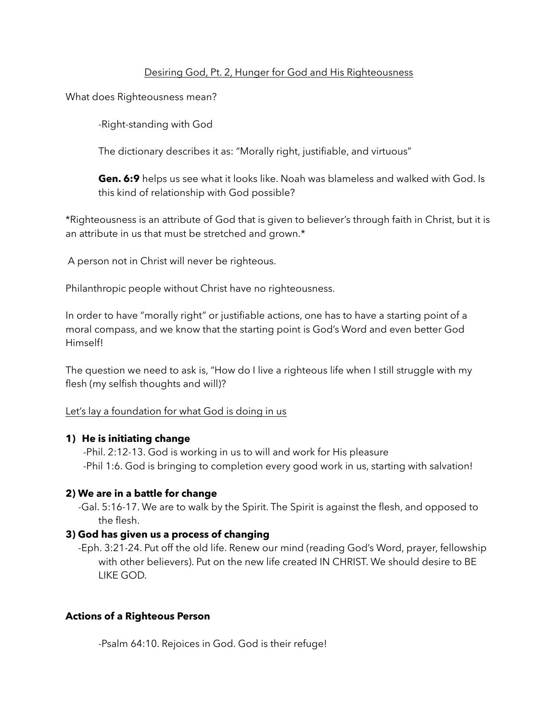## Desiring God, Pt. 2, Hunger for God and His Righteousness

What does Righteousness mean?

-Right-standing with God

The dictionary describes it as: "Morally right, justifiable, and virtuous"

 **Gen. 6:9** helps us see what it looks like. Noah was blameless and walked with God. Is this kind of relationship with God possible?

\*Righteousness is an attribute of God that is given to believer's through faith in Christ, but it is an attribute in us that must be stretched and grown.\*

A person not in Christ will never be righteous.

Philanthropic people without Christ have no righteousness.

In order to have "morally right" or justifiable actions, one has to have a starting point of a moral compass, and we know that the starting point is God's Word and even better God Himself!

The question we need to ask is, "How do I live a righteous life when I still struggle with my flesh (my selfish thoughts and will)?

## Let's lay a foundation for what God is doing in us

## **1) He is initiating change**

 -Phil. 2:12-13. God is working in us to will and work for His pleasure -Phil 1:6. God is bringing to completion every good work in us, starting with salvation!

## **2) We are in a battle for change**

 -Gal. 5:16-17. We are to walk by the Spirit. The Spirit is against the flesh, and opposed to the flesh.

## **3) God has given us a process of changing**

-Eph. 3:21-24. Put off the old life. Renew our mind (reading God's Word, prayer, fellowship with other believers). Put on the new life created IN CHRIST. We should desire to BE LIKE GOD.

# **Actions of a Righteous Person**

-Psalm 64:10. Rejoices in God. God is their refuge!